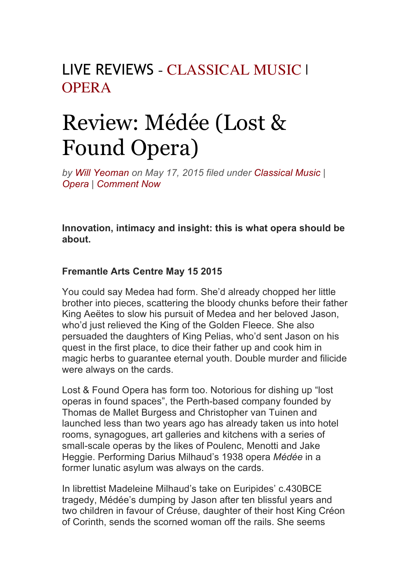## LIVE REVIEWS - CLASSICAL MUSIC | OPERA

## Review: Médée (Lost & Found Opera)

*by Will Yeoman on May 17, 2015 filed under Classical Music | Opera | Comment Now*

**Innovation, intimacy and insight: this is what opera should be about.**

## **Fremantle Arts Centre May 15 2015**

You could say Medea had form. She'd already chopped her little brother into pieces, scattering the bloody chunks before their father King Aeëtes to slow his pursuit of Medea and her beloved Jason, who'd just relieved the King of the Golden Fleece. She also persuaded the daughters of King Pelias, who'd sent Jason on his quest in the first place, to dice their father up and cook him in magic herbs to guarantee eternal youth. Double murder and filicide were always on the cards.

Lost & Found Opera has form too. Notorious for dishing up "lost operas in found spaces", the Perth-based company founded by Thomas de Mallet Burgess and Christopher van Tuinen and launched less than two years ago has already taken us into hotel rooms, synagogues, art galleries and kitchens with a series of small-scale operas by the likes of Poulenc, Menotti and Jake Heggie. Performing Darius Milhaud's 1938 opera *Médée* in a former lunatic asylum was always on the cards.

In librettist Madeleine Milhaud's take on Euripides' c.430BCE tragedy, Médée's dumping by Jason after ten blissful years and two children in favour of Créuse, daughter of their host King Créon of Corinth, sends the scorned woman off the rails. She seems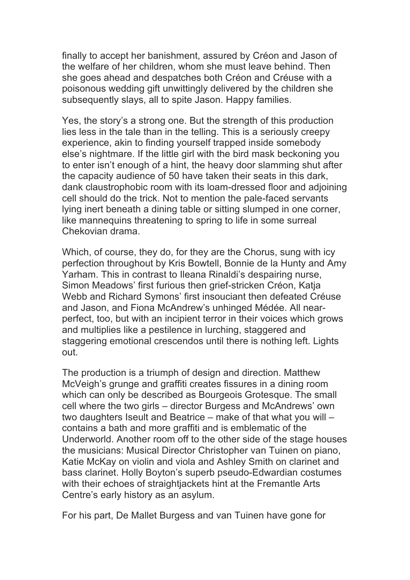finally to accept her banishment, assured by Créon and Jason of the welfare of her children, whom she must leave behind. Then she goes ahead and despatches both Créon and Créuse with a poisonous wedding gift unwittingly delivered by the children she subsequently slays, all to spite Jason. Happy families.

Yes, the story's a strong one. But the strength of this production lies less in the tale than in the telling. This is a seriously creepy experience, akin to finding yourself trapped inside somebody else's nightmare. If the little girl with the bird mask beckoning you to enter isn't enough of a hint, the heavy door slamming shut after the capacity audience of 50 have taken their seats in this dark, dank claustrophobic room with its loam-dressed floor and adjoining cell should do the trick. Not to mention the pale-faced servants lying inert beneath a dining table or sitting slumped in one corner, like mannequins threatening to spring to life in some surreal Chekovian drama.

Which, of course, they do, for they are the Chorus, sung with icy perfection throughout by Kris Bowtell, Bonnie de la Hunty and Amy Yarham. This in contrast to Ileana Rinaldi's despairing nurse, Simon Meadows' first furious then grief-stricken Créon, Katja Webb and Richard Symons' first insouciant then defeated Créuse and Jason, and Fiona McAndrew's unhinged Médée. All nearperfect, too, but with an incipient terror in their voices which grows and multiplies like a pestilence in lurching, staggered and staggering emotional crescendos until there is nothing left. Lights out.

The production is a triumph of design and direction. Matthew McVeigh's grunge and graffiti creates fissures in a dining room which can only be described as Bourgeois Grotesque. The small cell where the two girls – director Burgess and McAndrews' own two daughters Iseult and Beatrice – make of that what you will – contains a bath and more graffiti and is emblematic of the Underworld. Another room off to the other side of the stage houses the musicians: Musical Director Christopher van Tuinen on piano, Katie McKay on violin and viola and Ashley Smith on clarinet and bass clarinet. Holly Boyton's superb pseudo-Edwardian costumes with their echoes of straightjackets hint at the Fremantle Arts Centre's early history as an asylum.

For his part, De Mallet Burgess and van Tuinen have gone for